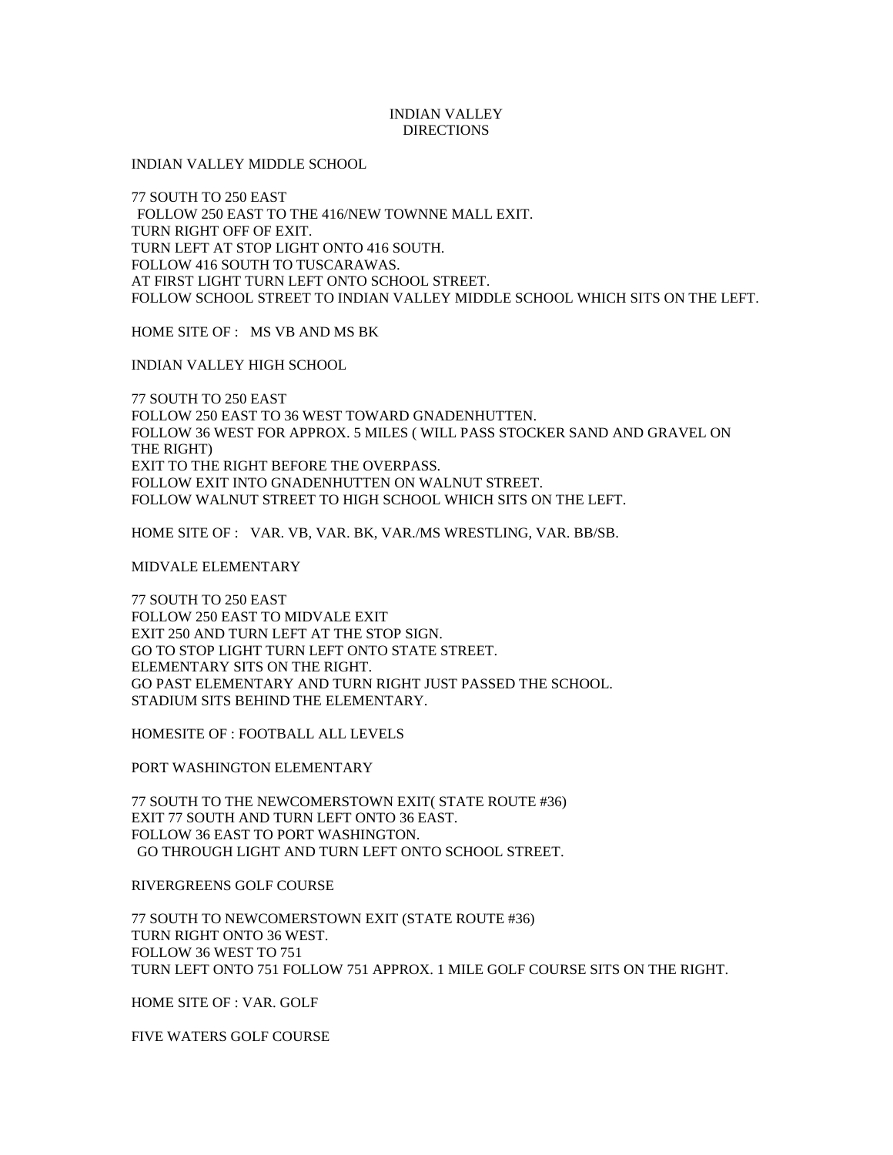## INDIAN VALLEY **DIRECTIONS**

INDIAN VALLEY MIDDLE SCHOOL

77 SOUTH TO 250 EAST FOLLOW 250 EAST TO THE 416/NEW TOWNNE MALL EXIT. TURN RIGHT OFF OF EXIT. TURN LEFT AT STOP LIGHT ONTO 416 SOUTH. FOLLOW 416 SOUTH TO TUSCARAWAS. AT FIRST LIGHT TURN LEFT ONTO SCHOOL STREET. FOLLOW SCHOOL STREET TO INDIAN VALLEY MIDDLE SCHOOL WHICH SITS ON THE LEFT.

HOME SITE OF : MS VB AND MS BK

INDIAN VALLEY HIGH SCHOOL

77 SOUTH TO 250 EAST FOLLOW 250 EAST TO 36 WEST TOWARD GNADENHUTTEN. FOLLOW 36 WEST FOR APPROX. 5 MILES ( WILL PASS STOCKER SAND AND GRAVEL ON THE RIGHT) EXIT TO THE RIGHT BEFORE THE OVERPASS. FOLLOW EXIT INTO GNADENHUTTEN ON WALNUT STREET. FOLLOW WALNUT STREET TO HIGH SCHOOL WHICH SITS ON THE LEFT.

HOME SITE OF : VAR. VB, VAR. BK, VAR./MS WRESTLING, VAR. BB/SB.

MIDVALE ELEMENTARY

77 SOUTH TO 250 EAST FOLLOW 250 EAST TO MIDVALE EXIT EXIT 250 AND TURN LEFT AT THE STOP SIGN. GO TO STOP LIGHT TURN LEFT ONTO STATE STREET. ELEMENTARY SITS ON THE RIGHT. GO PAST ELEMENTARY AND TURN RIGHT JUST PASSED THE SCHOOL. STADIUM SITS BEHIND THE ELEMENTARY.

HOMESITE OF : FOOTBALL ALL LEVELS

PORT WASHINGTON ELEMENTARY

77 SOUTH TO THE NEWCOMERSTOWN EXIT( STATE ROUTE #36) EXIT 77 SOUTH AND TURN LEFT ONTO 36 EAST. FOLLOW 36 EAST TO PORT WASHINGTON. GO THROUGH LIGHT AND TURN LEFT ONTO SCHOOL STREET.

RIVERGREENS GOLF COURSE

77 SOUTH TO NEWCOMERSTOWN EXIT (STATE ROUTE #36) TURN RIGHT ONTO 36 WEST. FOLLOW 36 WEST TO 751 TURN LEFT ONTO 751 FOLLOW 751 APPROX. 1 MILE GOLF COURSE SITS ON THE RIGHT.

HOME SITE OF : VAR. GOLF

FIVE WATERS GOLF COURSE